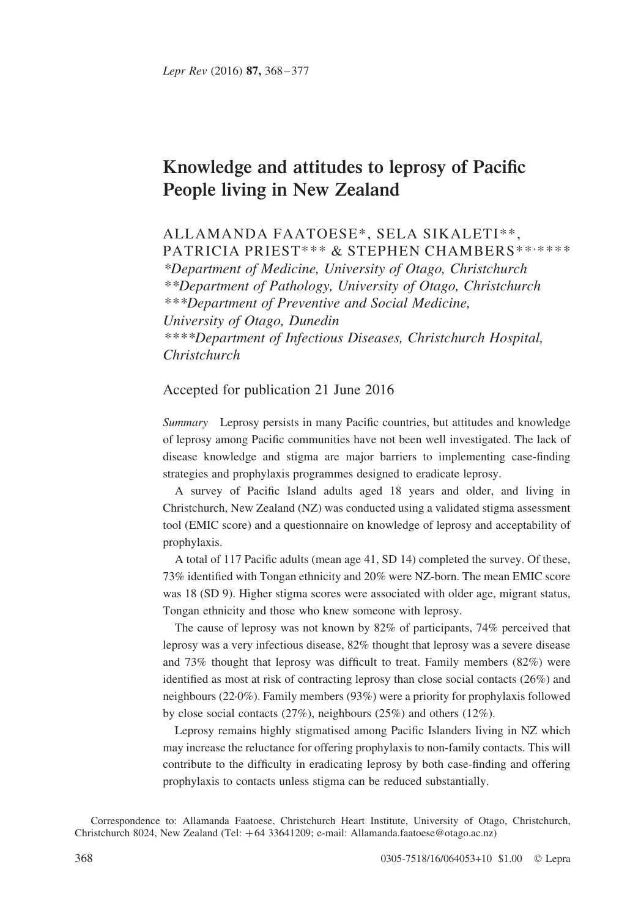# Knowledge and attitudes to leprosy of Pacific People living in New Zealand

# ALLAMANDA FAATOESE\*, SELA SIKALETI\*\*, PATRICIA PRIEST\*\*\* & STEPHEN CHAMBERS\*\*\*\*\*\*\*

\*Department of Medicine, University of Otago, Christchurch \*\*Department of Pathology, University of Otago, Christchurch \*\*\*Department of Preventive and Social Medicine, University of Otago, Dunedin \*\*\*\*Department of Infectious Diseases, Christchurch Hospital, Christchurch

# Accepted for publication 21 June 2016

Summary Leprosy persists in many Pacific countries, but attitudes and knowledge of leprosy among Pacific communities have not been well investigated. The lack of disease knowledge and stigma are major barriers to implementing case-finding strategies and prophylaxis programmes designed to eradicate leprosy.

A survey of Pacific Island adults aged 18 years and older, and living in Christchurch, New Zealand (NZ) was conducted using a validated stigma assessment tool (EMIC score) and a questionnaire on knowledge of leprosy and acceptability of prophylaxis.

A total of 117 Pacific adults (mean age 41, SD 14) completed the survey. Of these, 73% identified with Tongan ethnicity and 20% were NZ-born. The mean EMIC score was 18 (SD 9). Higher stigma scores were associated with older age, migrant status, Tongan ethnicity and those who knew someone with leprosy.

The cause of leprosy was not known by 82% of participants, 74% perceived that leprosy was a very infectious disease, 82% thought that leprosy was a severe disease and 73% thought that leprosy was difficult to treat. Family members (82%) were identified as most at risk of contracting leprosy than close social contacts (26%) and neighbours (22·0%). Family members (93%) were a priority for prophylaxis followed by close social contacts (27%), neighbours (25%) and others (12%).

Leprosy remains highly stigmatised among Pacific Islanders living in NZ which may increase the reluctance for offering prophylaxis to non-family contacts. This will contribute to the difficulty in eradicating leprosy by both case-finding and offering prophylaxis to contacts unless stigma can be reduced substantially.

Correspondence to: Allamanda Faatoese, Christchurch Heart Institute, University of Otago, Christchurch, Christchurch 8024, New Zealand (Tel: +64 33641209; e-mail: Allamanda.faatoese@otago.ac.nz)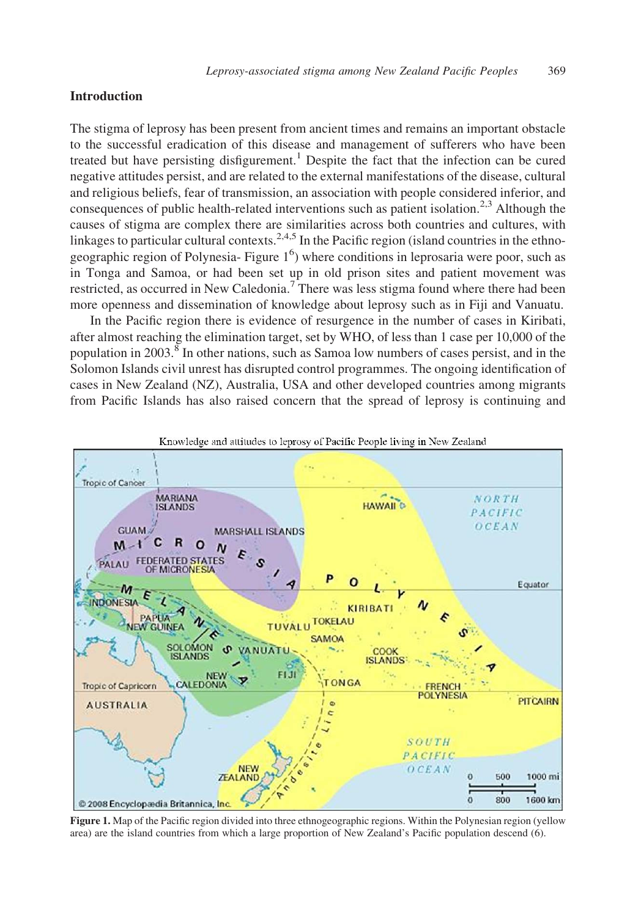# Introduction

The stigma of leprosy has been present from ancient times and remains an important obstacle to the successful eradication of this disease and management of sufferers who have been treated but have persisting disfigurement.<sup>[1](#page-8-0)</sup> Despite the fact that the infection can be cured negative attitudes persist, and are related to the external manifestations of the disease, cultural and religious beliefs, fear of transmission, an association with people considered inferior, and consequences of public health-related interventions such as patient isolation.<sup>[2,3](#page-8-0)</sup> Although the causes of stigma are complex there are similarities across both countries and cultures, with linkages to particular cultural contexts.<sup>[2,4,5](#page-8-0)</sup> In the Pacific region (island countries in the ethno-geographic region of Polynesia- [Figure](#page-8-0)  $1<sup>6</sup>$  $1<sup>6</sup>$ ) where conditions in leprosaria were poor, such as in Tonga and Samoa, or had been set up in old prison sites and patient movement was restricted, as occurred in New Caledonia.<sup>[7](#page-8-0)</sup> There was less stigma found where there had been more openness and dissemination of knowledge about leprosy such as in Fiji and Vanuatu.

In the Pacific region there is evidence of resurgence in the number of cases in Kiribati, after almost reaching the elimination target, set by WHO, of less than 1 case per 10,000 of the population in 2003.[8](#page-8-0) In other nations, such as Samoa low numbers of cases persist, and in the Solomon Islands civil unrest has disrupted control programmes. The ongoing identification of cases in New Zealand (NZ), Australia, USA and other developed countries among migrants from Pacific Islands has also raised concern that the spread of leprosy is continuing and



Figure 1. Map of the Pacific region divided into three ethnogeographic regions. Within the Polynesian region (yellow area) are the island countries from which a large proportion of New Zealand's Pacific population descend (6).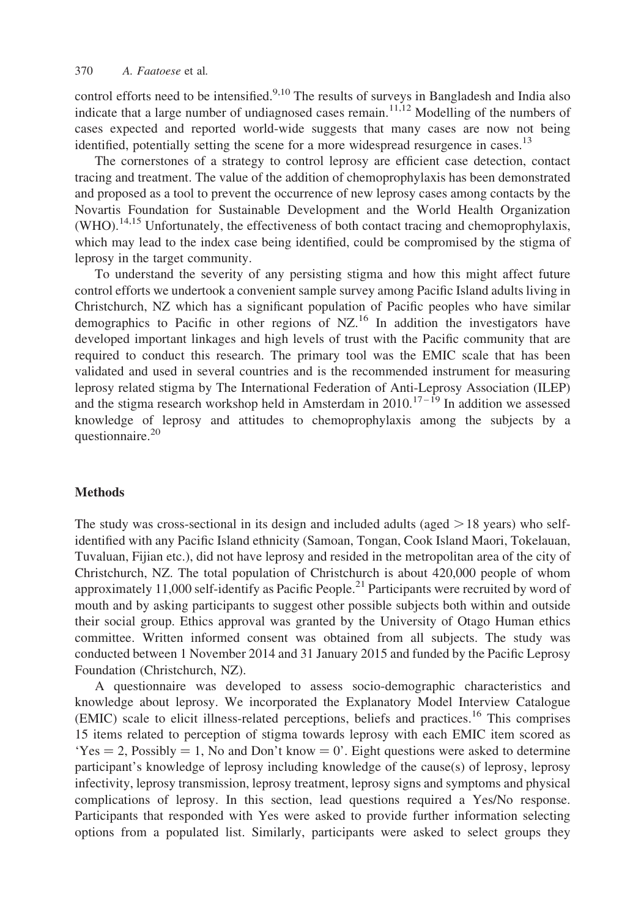control efforts need to be intensified.<sup>[9,10](#page-8-0)</sup> The results of surveys in Bangladesh and India also indicate that a large number of undiagnosed cases remain.<sup>[11,12](#page-8-0)</sup> Modelling of the numbers of cases expected and reported world-wide suggests that many cases are now not being identified, potentially setting the scene for a more widespread resurgence in cases.<sup>13</sup>

The cornerstones of a strategy to control leprosy are efficient case detection, contact tracing and treatment. The value of the addition of chemoprophylaxis has been demonstrated and proposed as a tool to prevent the occurrence of new leprosy cases among contacts by the Novartis Foundation for Sustainable Development and the World Health Organization  $(WHO)$ .<sup>[14,15](#page-8-0)</sup> Unfortunately, the effectiveness of both contact tracing and chemoprophylaxis, which may lead to the index case being identified, could be compromised by the stigma of leprosy in the target community.

To understand the severity of any persisting stigma and how this might affect future control efforts we undertook a convenient sample survey among Pacific Island adults living in Christchurch, NZ which has a significant population of Pacific peoples who have similar demographics to Pacific in other regions of NZ.[16](#page-8-0) In addition the investigators have developed important linkages and high levels of trust with the Pacific community that are required to conduct this research. The primary tool was the EMIC scale that has been validated and used in several countries and is the recommended instrument for measuring leprosy related stigma by The International Federation of Anti-Leprosy Association (ILEP) and the stigma research workshop held in Amsterdam in  $2010$ .<sup>17-19</sup> In addition we assessed knowledge of leprosy and attitudes to chemoprophylaxis among the subjects by a questionnaire.<sup>[20](#page-8-0)</sup>

### Methods

The study was cross-sectional in its design and included adults (aged  $> 18$  years) who selfidentified with any Pacific Island ethnicity (Samoan, Tongan, Cook Island Maori, Tokelauan, Tuvaluan, Fijian etc.), did not have leprosy and resided in the metropolitan area of the city of Christchurch, NZ. The total population of Christchurch is about 420,000 people of whom approximately 11,000 self-identify as Pacific People.<sup>[21](#page-8-0)</sup> Participants were recruited by word of mouth and by asking participants to suggest other possible subjects both within and outside their social group. Ethics approval was granted by the University of Otago Human ethics committee. Written informed consent was obtained from all subjects. The study was conducted between 1 November 2014 and 31 January 2015 and funded by the Pacific Leprosy Foundation (Christchurch, NZ).

A questionnaire was developed to assess socio-demographic characteristics and knowledge about leprosy. We incorporated the Explanatory Model Interview Catalogue (EMIC) scale to elicit illness-related perceptions, beliefs and practices.[16](#page-8-0) This comprises 15 items related to perception of stigma towards leprosy with each EMIC item scored as  $Yes = 2$ , Possibly  $= 1$ , No and Don't know  $= 0'$ . Eight questions were asked to determine participant's knowledge of leprosy including knowledge of the cause(s) of leprosy, leprosy infectivity, leprosy transmission, leprosy treatment, leprosy signs and symptoms and physical complications of leprosy. In this section, lead questions required a Yes/No response. Participants that responded with Yes were asked to provide further information selecting options from a populated list. Similarly, participants were asked to select groups they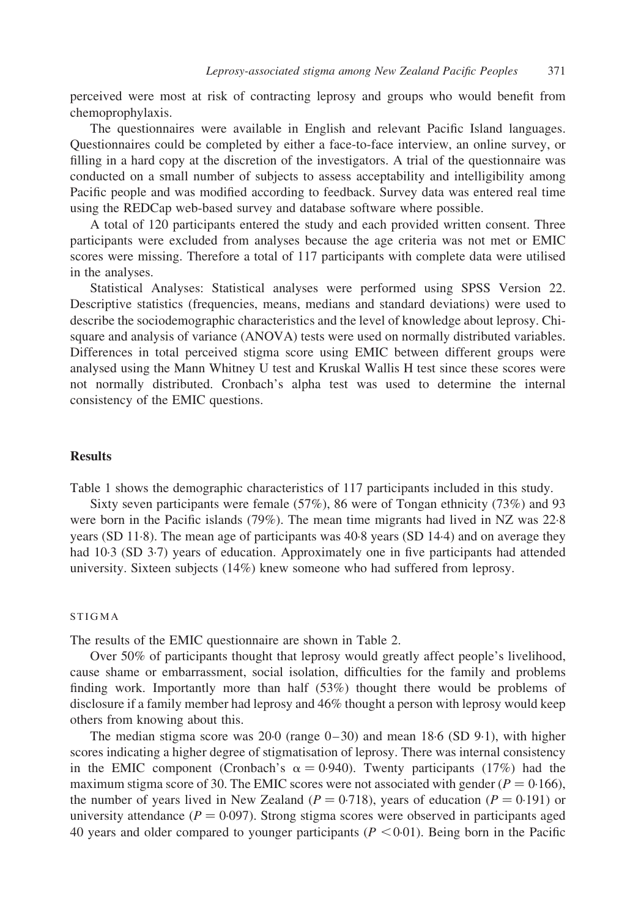perceived were most at risk of contracting leprosy and groups who would benefit from chemoprophylaxis.

The questionnaires were available in English and relevant Pacific Island languages. Questionnaires could be completed by either a face-to-face interview, an online survey, or filling in a hard copy at the discretion of the investigators. A trial of the questionnaire was conducted on a small number of subjects to assess acceptability and intelligibility among Pacific people and was modified according to feedback. Survey data was entered real time using the REDCap web-based survey and database software where possible.

A total of 120 participants entered the study and each provided written consent. Three participants were excluded from analyses because the age criteria was not met or EMIC scores were missing. Therefore a total of 117 participants with complete data were utilised in the analyses.

Statistical Analyses: Statistical analyses were performed using SPSS Version 22. Descriptive statistics (frequencies, means, medians and standard deviations) were used to describe the sociodemographic characteristics and the level of knowledge about leprosy. Chisquare and analysis of variance (ANOVA) tests were used on normally distributed variables. Differences in total perceived stigma score using EMIC between different groups were analysed using the Mann Whitney U test and Kruskal Wallis H test since these scores were not normally distributed. Cronbach's alpha test was used to determine the internal consistency of the EMIC questions.

## Results

[Table 1](#page-4-0) shows the demographic characteristics of 117 participants included in this study.

Sixty seven participants were female (57%), 86 were of Tongan ethnicity (73%) and 93 were born in the Pacific islands (79%). The mean time migrants had lived in NZ was 22·8 years (SD 11·8). The mean age of participants was 40·8 years (SD 14·4) and on average they had 10.3 (SD 3.7) years of education. Approximately one in five participants had attended university. Sixteen subjects (14%) knew someone who had suffered from leprosy.

#### **STIGMA**

The results of the EMIC questionnaire are shown in [Table 2](#page-5-0).

Over 50% of participants thought that leprosy would greatly affect people's livelihood, cause shame or embarrassment, social isolation, difficulties for the family and problems finding work. Importantly more than half (53%) thought there would be problems of disclosure if a family member had leprosy and 46% thought a person with leprosy would keep others from knowing about this.

The median stigma score was  $20.0$  (range  $0-30$ ) and mean  $18.6$  (SD  $9.1$ ), with higher scores indicating a higher degree of stigmatisation of leprosy. There was internal consistency in the EMIC component (Cronbach's  $\alpha = 0.940$ ). Twenty participants (17%) had the maximum stigma score of 30. The EMIC scores were not associated with gender ( $P = 0.166$ ), the number of years lived in New Zealand ( $P = 0.718$ ), years of education ( $P = 0.191$ ) or university attendance ( $P = 0.097$ ). Strong stigma scores were observed in participants aged 40 years and older compared to younger participants ( $P < 0.01$ ). Being born in the Pacific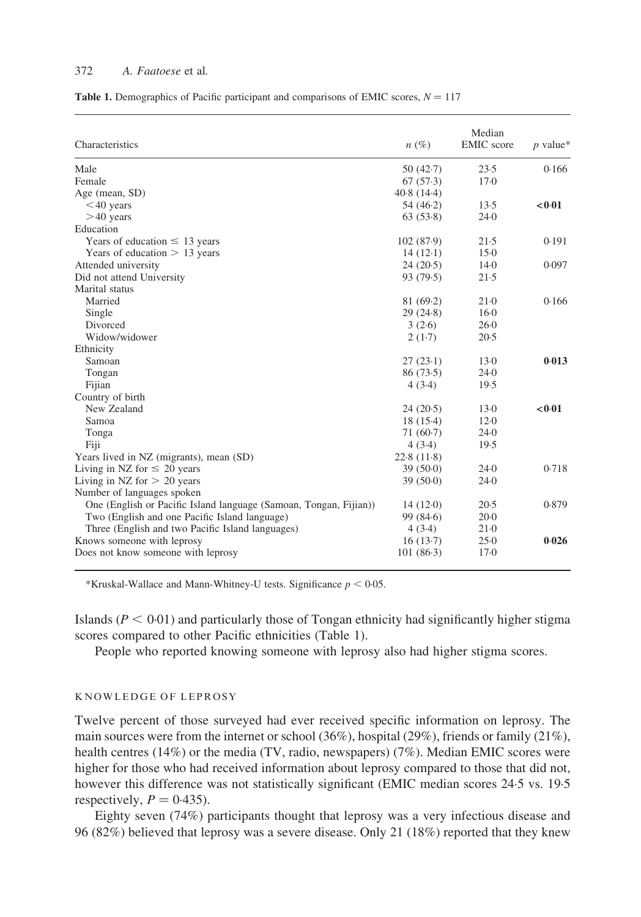#### <span id="page-4-0"></span>372 A. Faatoese et al.

|  |  |  |  | <b>Table 1.</b> Demographics of Pacific participant and comparisons of EMIC scores, $N = 117$ |  |  |  |  |
|--|--|--|--|-----------------------------------------------------------------------------------------------|--|--|--|--|
|--|--|--|--|-----------------------------------------------------------------------------------------------|--|--|--|--|

| Characteristics                                                   | $n(\%)$     | Median<br><b>EMIC</b> score | $p$ value* |
|-------------------------------------------------------------------|-------------|-----------------------------|------------|
| Male                                                              | 50 $(42.7)$ | 23.5                        | 0.166      |
| Female                                                            | 67(57.3)    | $17-0$                      |            |
| Age (mean, SD)                                                    | 40.8(14.4)  |                             |            |
| $<$ 40 years                                                      | 54 $(46.2)$ | 13.5                        | <0.01      |
| $>40$ years                                                       | 63(53.8)    | 24.0                        |            |
| Education                                                         |             |                             |            |
| Years of education $\leq$ 13 years                                | 102(87.9)   | 21.5                        | 0.191      |
| Years of education $> 13$ years                                   | $14(12-1)$  | $15-0$                      |            |
| Attended university                                               | 24(20.5)    | $14-0$                      | 0.097      |
| Did not attend University                                         | 93(79.5)    | 21.5                        |            |
| Marital status                                                    |             |                             |            |
| Married                                                           | 81(69.2)    | $21-0$                      | 0.166      |
| Single                                                            | 29(24.8)    | $16-0$                      |            |
| Divorced                                                          | 3(2.6)      | 26.0                        |            |
| Widow/widower                                                     | 2(1.7)      | 20.5                        |            |
| Ethnicity                                                         |             |                             |            |
| Samoan                                                            | 27(23.1)    | $13-0$                      | 0.013      |
| Tongan                                                            | 86(73.5)    | 24.0                        |            |
| Fijian                                                            | 4(3.4)      | 19.5                        |            |
| Country of birth                                                  |             |                             |            |
| New Zealand                                                       | 24(20.5)    | $13-0$                      | < 0.01     |
| Samoa                                                             | 18(15.4)    | $12-0$                      |            |
| Tonga                                                             | $71(60-7)$  | 24.0                        |            |
| Fiji                                                              | 4(3.4)      | 19.5                        |            |
| Years lived in NZ (migrants), mean (SD)                           | 22.8(11.8)  |                             |            |
| Living in NZ for $\leq 20$ years                                  | 39(50.0)    | 24.0                        | 0.718      |
| Living in NZ for $> 20$ years                                     | 39(50.0)    | 24.0                        |            |
| Number of languages spoken                                        |             |                             |            |
| One (English or Pacific Island language (Samoan, Tongan, Fijian)) | 14(12.0)    | 20.5                        | 0.879      |
| Two (English and one Pacific Island language)                     | 99 $(84.6)$ | $20-0$                      |            |
| Three (English and two Pacific Island languages)                  | 4(3.4)      | $21-0$                      |            |
| Knows someone with leprosy                                        | 16(13.7)    | 25.0                        | 0.026      |
| Does not know someone with leprosy                                | $101(86-3)$ | $17-0$                      |            |

\*Kruskal-Wallace and Mann-Whitney-U tests. Significance  $p < 0.05$ .

Islands ( $P < 0.01$ ) and particularly those of Tongan ethnicity had significantly higher stigma scores compared to other Pacific ethnicities (Table 1).

People who reported knowing someone with leprosy also had higher stigma scores.

#### KNOWLEDGE OF LEPROSY

Twelve percent of those surveyed had ever received specific information on leprosy. The main sources were from the internet or school (36%), hospital (29%), friends or family (21%), health centres (14%) or the media (TV, radio, newspapers) (7%). Median EMIC scores were higher for those who had received information about leprosy compared to those that did not, however this difference was not statistically significant (EMIC median scores 24·5 vs. 19·5 respectively,  $P = 0.435$ ).

Eighty seven (74%) participants thought that leprosy was a very infectious disease and 96 (82%) believed that leprosy was a severe disease. Only 21 (18%) reported that they knew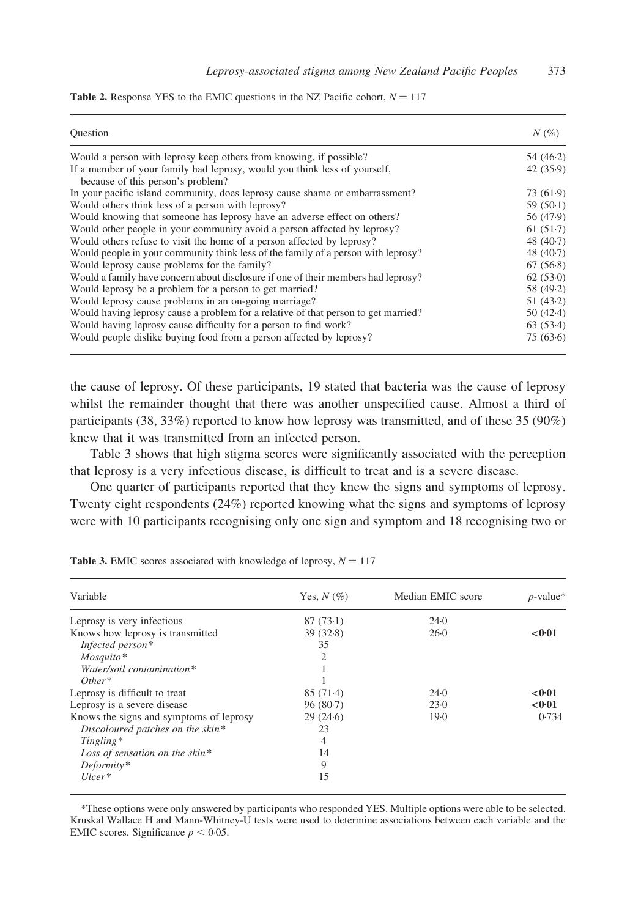| Ouestion                                                                                                       | $N(\%)$     |
|----------------------------------------------------------------------------------------------------------------|-------------|
| Would a person with leprosy keep others from knowing, if possible?                                             | 54(46.2)    |
| If a member of your family had leprosy, would you think less of yourself,<br>because of this person's problem? | 42(35.9)    |
| In your pacific island community, does leprosy cause shame or embarrassment?                                   | 73 (61.9)   |
| Would others think less of a person with leprosy?                                                              | 59 $(50.1)$ |
| Would knowing that someone has leprosy have an adverse effect on others?                                       | 56 (47.9)   |
| Would other people in your community avoid a person affected by leprosy?                                       | 61(51.7)    |
| Would others refuse to visit the home of a person affected by leprosy?                                         | 48 $(40.7)$ |
| Would people in your community think less of the family of a person with leprosy?                              | 48 $(40.7)$ |
| Would leprosy cause problems for the family?                                                                   | 67(56.8)    |
| Would a family have concern about disclosure if one of their members had leprosy?                              | 62(53.0)    |
| Would leprosy be a problem for a person to get married?                                                        | 58 (49.2)   |
| Would leprosy cause problems in an on-going marriage?                                                          | 51(43.2)    |
| Would having leprosy cause a problem for a relative of that person to get married?                             | 50(42.4)    |
| Would having leprosy cause difficulty for a person to find work?                                               | 63(53.4)    |
| Would people dislike buying food from a person affected by leprosy?                                            | 75(63.6)    |

<span id="page-5-0"></span>

|  |  |  | <b>Table 2.</b> Response YES to the EMIC questions in the NZ Pacific cohort, $N = 117$ |
|--|--|--|----------------------------------------------------------------------------------------|
|--|--|--|----------------------------------------------------------------------------------------|

the cause of leprosy. Of these participants, 19 stated that bacteria was the cause of leprosy whilst the remainder thought that there was another unspecified cause. Almost a third of participants (38, 33%) reported to know how leprosy was transmitted, and of these 35 (90%) knew that it was transmitted from an infected person.

Table 3 shows that high stigma scores were significantly associated with the perception that leprosy is a very infectious disease, is difficult to treat and is a severe disease.

One quarter of participants reported that they knew the signs and symptoms of leprosy. Twenty eight respondents (24%) reported knowing what the signs and symptoms of leprosy were with 10 participants recognising only one sign and symptom and 18 recognising two or

| Variable                                | Yes, $N(\%)$ | Median EMIC score | $p$ -value* |
|-----------------------------------------|--------------|-------------------|-------------|
| Leprosy is very infectious              | 87(73.1)     | 24.0              |             |
| Knows how leprosy is transmitted        | 39(32.8)     | $26-0$            | < 0.01      |
| Infected person*                        | 35           |                   |             |
| $M$ osquito*                            | 2            |                   |             |
| Water/soil contamination*               |              |                   |             |
| $Other*$                                |              |                   |             |
| Leprosy is difficult to treat           | $85(71-4)$   | 24.0              | < 0.01      |
| Leprosy is a severe disease             | 96(80.7)     | 23.0              | < 0.01      |
| Knows the signs and symptoms of leprosy | 29(24.6)     | 19.0              | 0.734       |
| Discoloured patches on the skin*        | 23           |                   |             |
| Tingling*                               | 4            |                   |             |
| Loss of sensation on the skin*          | 14           |                   |             |
| Deformity*                              | 9            |                   |             |
| $Ulcer*$                                | 15           |                   |             |

Table 3. EMIC scores associated with knowledge of leprosy,  $N = 117$ 

\*These options were only answered by participants who responded YES. Multiple options were able to be selected. Kruskal Wallace H and Mann-Whitney-U tests were used to determine associations between each variable and the EMIC scores. Significance  $p < 0.05$ .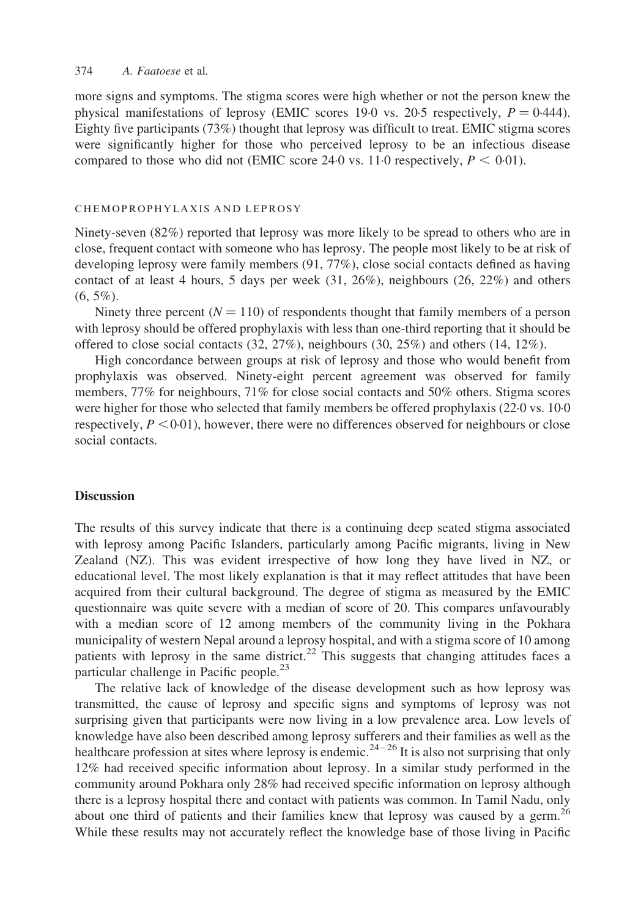#### 374 A. Faatoese et al.

more signs and symptoms. The stigma scores were high whether or not the person knew the physical manifestations of leprosy (EMIC scores 190 vs. 2005 respectively,  $P = 0.444$ ). Eighty five participants (73%) thought that leprosy was difficult to treat. EMIC stigma scores were significantly higher for those who perceived leprosy to be an infectious disease compared to those who did not (EMIC score 24.0 vs. 11.0 respectively,  $P < 0.01$ ).

#### CHEMOPROPHYLAXIS AND LEPROSY

Ninety-seven (82%) reported that leprosy was more likely to be spread to others who are in close, frequent contact with someone who has leprosy. The people most likely to be at risk of developing leprosy were family members (91, 77%), close social contacts defined as having contact of at least 4 hours, 5 days per week  $(31, 26\%)$ , neighbours  $(26, 22\%)$  and others  $(6, 5\%)$ .

Ninety three percent  $(N = 110)$  of respondents thought that family members of a person with leprosy should be offered prophylaxis with less than one-third reporting that it should be offered to close social contacts  $(32, 27\%)$ , neighbours  $(30, 25\%)$  and others  $(14, 12\%)$ .

High concordance between groups at risk of leprosy and those who would benefit from prophylaxis was observed. Ninety-eight percent agreement was observed for family members, 77% for neighbours, 71% for close social contacts and 50% others. Stigma scores were higher for those who selected that family members be offered prophylaxis (22·0 vs. 10·0 respectively,  $P \leq 0.01$ ), however, there were no differences observed for neighbours or close social contacts.

#### **Discussion**

The results of this survey indicate that there is a continuing deep seated stigma associated with leprosy among Pacific Islanders, particularly among Pacific migrants, living in New Zealand (NZ). This was evident irrespective of how long they have lived in NZ, or educational level. The most likely explanation is that it may reflect attitudes that have been acquired from their cultural background. The degree of stigma as measured by the EMIC questionnaire was quite severe with a median of score of 20. This compares unfavourably with a median score of 12 among members of the community living in the Pokhara municipality of western Nepal around a leprosy hospital, and with a stigma score of 10 among patients with leprosy in the same district.<sup>[22](#page-8-0)</sup> This suggests that changing attitudes faces a particular challenge in Pacific people.<sup>[23](#page-8-0)</sup>

The relative lack of knowledge of the disease development such as how leprosy was transmitted, the cause of leprosy and specific signs and symptoms of leprosy was not surprising given that participants were now living in a low prevalence area. Low levels of knowledge have also been described among leprosy sufferers and their families as well as the healthcare profession at sites where leprosy is endemic.<sup>24-26</sup> It is also not surprising that only 12% had received specific information about leprosy. In a similar study performed in the community around Pokhara only 28% had received specific information on leprosy although there is a leprosy hospital there and contact with patients was common. In Tamil Nadu, only about one third of patients and their families knew that leprosy was caused by a germ.<sup>[26](#page-9-0)</sup> While these results may not accurately reflect the knowledge base of those living in Pacific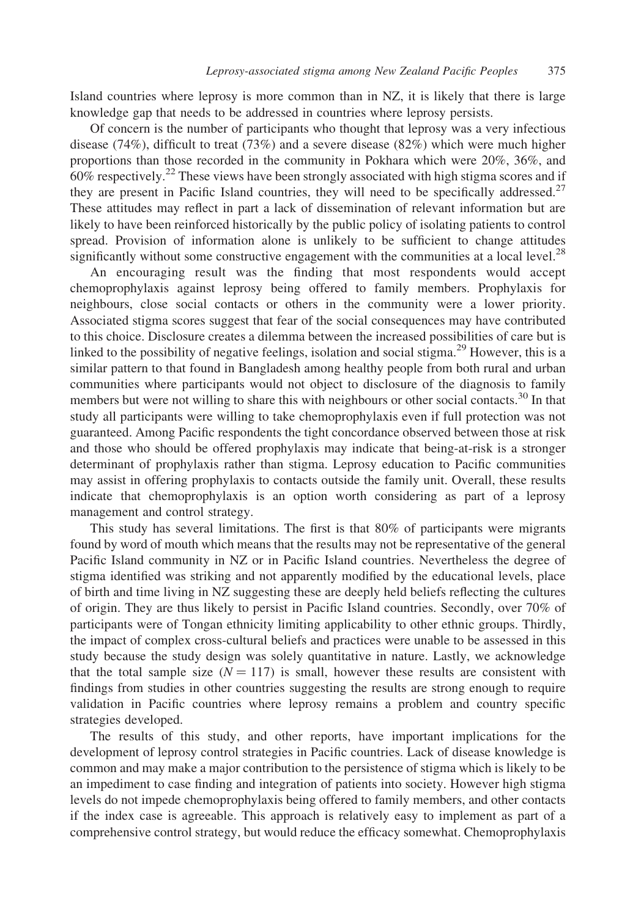Island countries where leprosy is more common than in NZ, it is likely that there is large knowledge gap that needs to be addressed in countries where leprosy persists.

Of concern is the number of participants who thought that leprosy was a very infectious disease (74%), difficult to treat (73%) and a severe disease (82%) which were much higher proportions than those recorded in the community in Pokhara which were 20%, 36%, and  $60\%$  respectively.<sup>[22](#page-8-0)</sup> These views have been strongly associated with high stigma scores and if they are present in Pacific Island countries, they will need to be specifically addressed.<sup>[27](#page-9-0)</sup> These attitudes may reflect in part a lack of dissemination of relevant information but are likely to have been reinforced historically by the public policy of isolating patients to control spread. Provision of information alone is unlikely to be sufficient to change attitudes significantly without some constructive engagement with the communities at a local level.<sup>[28](#page-9-0)</sup>

An encouraging result was the finding that most respondents would accept chemoprophylaxis against leprosy being offered to family members. Prophylaxis for neighbours, close social contacts or others in the community were a lower priority. Associated stigma scores suggest that fear of the social consequences may have contributed to this choice. Disclosure creates a dilemma between the increased possibilities of care but is linked to the possibility of negative feelings, isolation and social stigma.<sup>[29](#page-9-0)</sup> However, this is a similar pattern to that found in Bangladesh among healthy people from both rural and urban communities where participants would not object to disclosure of the diagnosis to family members but were not willing to share this with neighbours or other social contacts.<sup>[30](#page-9-0)</sup> In that study all participants were willing to take chemoprophylaxis even if full protection was not guaranteed. Among Pacific respondents the tight concordance observed between those at risk and those who should be offered prophylaxis may indicate that being-at-risk is a stronger determinant of prophylaxis rather than stigma. Leprosy education to Pacific communities may assist in offering prophylaxis to contacts outside the family unit. Overall, these results indicate that chemoprophylaxis is an option worth considering as part of a leprosy management and control strategy.

This study has several limitations. The first is that 80% of participants were migrants found by word of mouth which means that the results may not be representative of the general Pacific Island community in NZ or in Pacific Island countries. Nevertheless the degree of stigma identified was striking and not apparently modified by the educational levels, place of birth and time living in NZ suggesting these are deeply held beliefs reflecting the cultures of origin. They are thus likely to persist in Pacific Island countries. Secondly, over 70% of participants were of Tongan ethnicity limiting applicability to other ethnic groups. Thirdly, the impact of complex cross-cultural beliefs and practices were unable to be assessed in this study because the study design was solely quantitative in nature. Lastly, we acknowledge that the total sample size  $(N = 117)$  is small, however these results are consistent with findings from studies in other countries suggesting the results are strong enough to require validation in Pacific countries where leprosy remains a problem and country specific strategies developed.

The results of this study, and other reports, have important implications for the development of leprosy control strategies in Pacific countries. Lack of disease knowledge is common and may make a major contribution to the persistence of stigma which is likely to be an impediment to case finding and integration of patients into society. However high stigma levels do not impede chemoprophylaxis being offered to family members, and other contacts if the index case is agreeable. This approach is relatively easy to implement as part of a comprehensive control strategy, but would reduce the efficacy somewhat. Chemoprophylaxis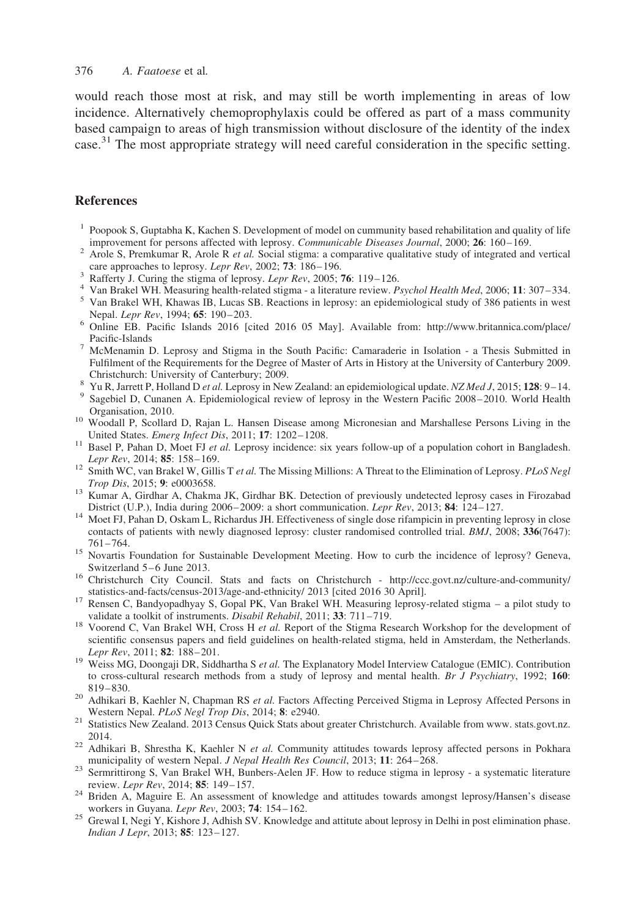<span id="page-8-0"></span>would reach those most at risk, and may still be worth implementing in areas of low incidence. Alternatively chemoprophylaxis could be offered as part of a mass community based campaign to areas of high transmission without disclosure of the identity of the index case.<sup>[31](#page-9-0)</sup> The most appropriate strategy will need careful consideration in the specific setting.

# **References**

- <sup>1</sup> Poopook S, Guptabha K, Kachen S. Development of model on cummunity based rehabilitation and quality of life improvement for persons affected with leprosy. *Communicable Diseases Journal*, 2000; **26**: 160–169.
- affected with leproses and the Diseases Arole Diseases and Diseases approaches to leprosy. Lepr Rev. 2002; 73: 166–196.
- 
- 
- <sup>3</sup> Rafferty J. Curing the stigma of leprosy. *Lepr Rev*, 2005; **76**: 119–126.<br>
<sup>4</sup> Van Brakel WH. Measuring health-related stigma a literature review. *Psychol Health Med*, 2006; **11**: 307–334.<br>
<sup>5</sup> Van Brakel WH, Khaw
- $6$  Online EB. Pacific Islands 2016 [cited 2016 05 May]. Available from: [http://www.britannica.com/place/](http://www.britannica.com/place/Pacific-Islands)<br>Pacific-Islands
- McMenamin D. Leprosy and Stigma in the South Pacific: Camaraderie in Isolation a Thesis Submitted in Fulfilment of the Requirements for the Degree of Master of Arts in History at the University of Canterbury 2009.<br>Christchurch: University of Canterbury; 2009.
- 
- Yu R, Jarrett P, Holland D et al. Leprosy in New Zealand: an epidemiological update. NZ Med J, 2015; 128: 9-14.<br>Sagebiel D, Cunanen A. Epidemiological review of leprosy in the Western Pacific 2008–2010. World Health
- Organisation, 2010. <sup>10</sup> Woodall P, Scollard D, Rajan L. Hansen Disease among Micronesian and Marshallese Persons Living in the
- United States. Emerg Infect Dis, 2011; 17: 1202–1208.<br>
<sup>11</sup> Basel P, Pahan D, Moet FJ et al. Leprosy incidence: six years follow-up of a population cohort in Bangladesh.<br> *Lepr Rev*, 2014; **85**: 158–169.
- $\frac{12}{12}$  Smith WC, van Brakel W, Gillis T *et al.* The Missing Millions: A Threat to the Elimination of Leprosy. PLoS Negl
- Trop Dis, 2015; 9: e0003658.<br>
<sup>13</sup> Kumar A, Girdhar A, Chakma JK, Girdhar BK. Detection of previously undetected leprosy cases in Firozabad<br>
District (U.P.). India during 2006–2009: a short communication. *Lepr Rev.* 2013:
- 14 Moet FJ, Pahan D, Oskam L, Richardus JH. Effectiveness of single dose rifampicin in preventing leprosy in close contacts of patients with newly diagnosed leprosy: cluster randomised controlled trial. BMJ, 2008; 336(7647): 761-764.
- <sup>15</sup> Novartis Foundation for Sustainable Development Meeting. How to curb the incidence of leprosy? Geneva, Switzerland 5–6 June 2013.
- <sup>16</sup> Christchurch City Council. Stats and facts on Christchurch - [http://ccc.govt.nz/culture-and-community/](http://ccc.govt.nz/culture-and-community/statistics-and-facts/census-2013/age-and-ethnicity/) statistics-and-facts/census-2013/age-and-ethnicity/ 2013 [cited 2016 30 April].
- <sup>17</sup> Rensen C, Bandyopadhyay S, Gopal PK, Van Brakel WH. Measuring leprosy-related stigma a pilot study to validate a toolkit of instruments. *Disabil Rehabil*, 2011; 33: 711–719.
- validate a toolkit of instruments. Disabilitation, 2011; 33: 711–719. 1911; 33: 711–719. 18 Voorend C, Van Brakel WH, Cross H et al. Report of the Stigma Research Workshop for the development of scientific consensus papers and field guidelines on health-related stigma, held in Amsterdam, the Netherlands.<br>Lepr Rev, 2011; 82: 188-201.
- <sup>19</sup> Weiss MG, Doongaji DR, Siddhartha S *et al.* The Explanatory Model Interview Catalogue (EMIC). Contribution to cross-cultural research methods from a study of leprosy and mental health. Br J Psychiatry, 1992; 160:
- 819–830. 20 Adhikari B, Kaehler N, Chapman RS et al. Factors Affecting Perceived Stigma in Leprosy Affected Persons in
- Western Nepal. PLoS Negl Trop Dis, 2014; 8: e2940.<br><sup>21</sup> Statistics New Zealand. 2013 Census Quick Stats about greater Christchurch. Available from [www.](http://www) [stats.govt.nz.](http://stats.govt.nz)
- 2014.<br><sup>22</sup> Adhikari B, Shrestha K, Kaehler N et al. Community attitudes towards leprosy affected persons in Pokhara
- municipality of western Nepal. J Nepal Health Res Council, 2013; 11: 264–268.<br><sup>23</sup> Sermrittirong S, Van Brakel WH, Bunbers-Aelen JF. How to reduce stigma in leprosy a systematic literature
- review. Lepr Rev, 2014; 85: 149–157.<br><sup>24</sup> Briden A, Maguire E. An assessment of knowledge and attitudes towards amongst leprosy/Hansen's disease workers in Guyana. Lepr Rev, 2003; 74: 154–162.
- <sup>25</sup> Grewal I, Negi Y, Kishore J, Adhish SV. Knowledge and attitute about leprosy in Delhi in post elimination phase. Indian J Lepr, 2013; 85: 123–127.